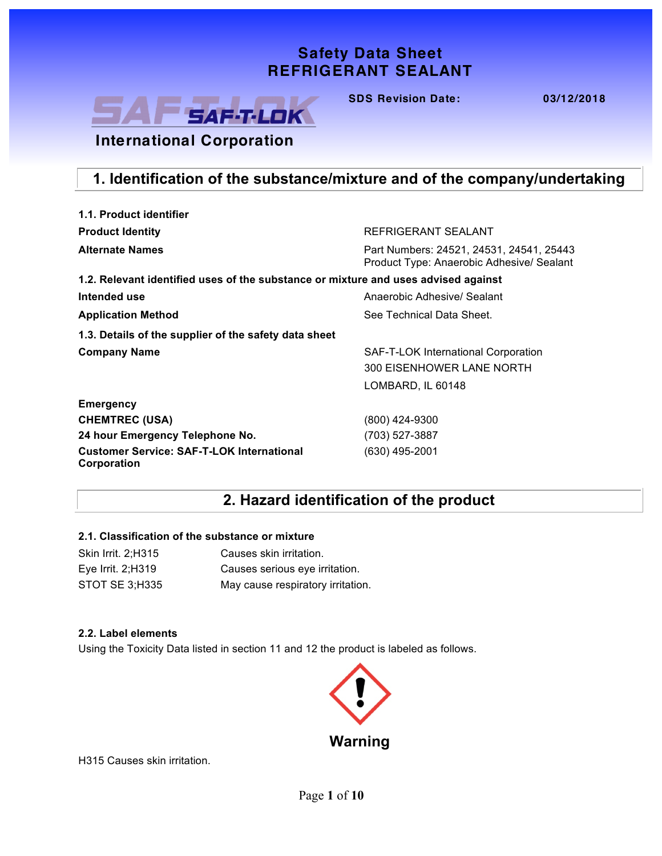## **Safety Data Sheet Safety Data Sheet REFRIGERANT SEALANT REFRIGERANT SEALANT**



**SDS Revision Date: 03/12/2018 SDS Revision Date: 03/12/2018**

## **International Corporation**

### **1. Identification of the substance/mixture and of the company/undertaking**

| 1.1. Product identifier                                                            |                                                                                       |
|------------------------------------------------------------------------------------|---------------------------------------------------------------------------------------|
| <b>Product Identity</b>                                                            | REFRIGERANT SEALANT                                                                   |
| <b>Alternate Names</b>                                                             | Part Numbers: 24521, 24531, 24541, 25443<br>Product Type: Anaerobic Adhesive/ Sealant |
| 1.2. Relevant identified uses of the substance or mixture and uses advised against |                                                                                       |
| Intended use                                                                       | Anaerobic Adhesive/ Sealant                                                           |
| <b>Application Method</b>                                                          | See Technical Data Sheet.                                                             |
| 1.3. Details of the supplier of the safety data sheet                              |                                                                                       |
| <b>Company Name</b>                                                                | SAF-T-LOK International Corporation<br>300 EISENHOWER LANE NORTH                      |
|                                                                                    | LOMBARD, IL 60148                                                                     |
| <b>Emergency</b>                                                                   |                                                                                       |
| <b>CHEMTREC (USA)</b>                                                              | (800) 424-9300                                                                        |
| 24 hour Emergency Telephone No.                                                    | (703) 527-3887                                                                        |
| <b>Customer Service: SAF-T-LOK International</b><br>Corporation                    | (630) 495-2001                                                                        |

## **2. Hazard identification of the product**

### **2.1. Classification of the substance or mixture**

| Skin Irrit. 2; H315 | Causes skin irritation.           |
|---------------------|-----------------------------------|
| Eye Irrit. $2;H319$ | Causes serious eye irritation.    |
| STOT SE 3:H335      | May cause respiratory irritation. |

#### **2.2. Label elements**

Using the Toxicity Data listed in section 11 and 12 the product is labeled as follows.



H315 Causes skin irritation.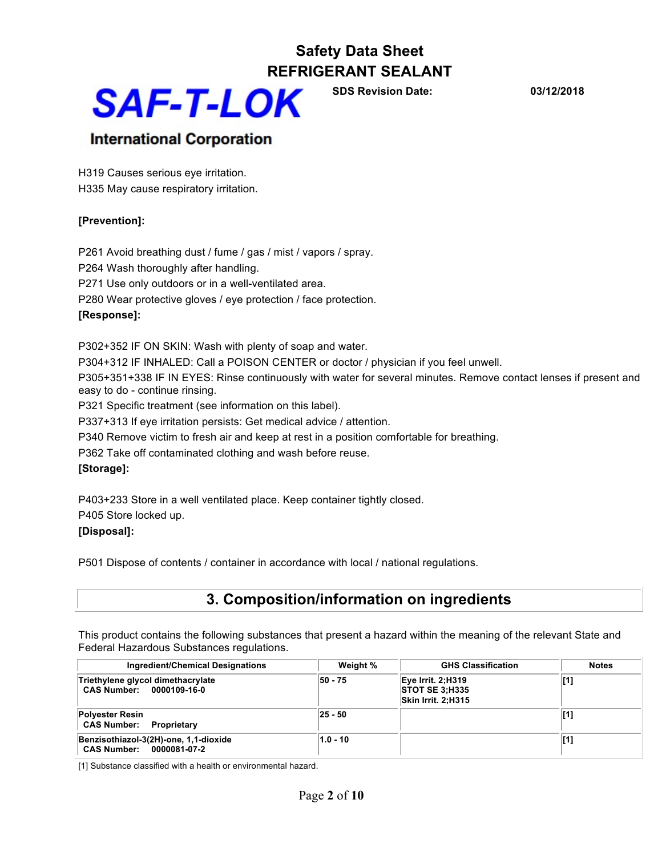

**SDS Revision Date: 03/12/2018**

### **International Corporation**

H319 Causes serious eye irritation. H335 May cause respiratory irritation.

### **[Prevention]:**

P261 Avoid breathing dust / fume / gas / mist / vapors / spray. P264 Wash thoroughly after handling. P271 Use only outdoors or in a well-ventilated area. P280 Wear protective gloves / eye protection / face protection. **[Response]:** 

P302+352 IF ON SKIN: Wash with plenty of soap and water.

P304+312 IF INHALED: Call a POISON CENTER or doctor / physician if you feel unwell.

P305+351+338 IF IN EYES: Rinse continuously with water for several minutes. Remove contact lenses if present and easy to do - continue rinsing.

P321 Specific treatment (see information on this label).

P337+313 If eye irritation persists: Get medical advice / attention.

P340 Remove victim to fresh air and keep at rest in a position comfortable for breathing.

P362 Take off contaminated clothing and wash before reuse.

### **[Storage]:**

P403+233 Store in a well ventilated place. Keep container tightly closed.

P405 Store locked up.

### **[Disposal]:**

P501 Dispose of contents / container in accordance with local / national regulations.

### **3. Composition/information on ingredients**

This product contains the following substances that present a hazard within the meaning of the relevant State and Federal Hazardous Substances regulations.

| Ingredient/Chemical Designations                                  | Weight %    | <b>GHS Classification</b>                                        | <b>Notes</b> |
|-------------------------------------------------------------------|-------------|------------------------------------------------------------------|--------------|
| Triethylene glycol dimethacrylate<br>CAS Number: 0000109-16-0     | 50 - 75     | Eye Irrit. 2;H319<br><b>STOT SE 3:H335</b><br>Skin Irrit. 2:H315 | [1]          |
| <b>Polyester Resin</b><br><b>CAS Number: Proprietary</b>          | $ 25 - 50 $ |                                                                  | [1]          |
| Benzisothiazol-3(2H)-one, 1,1-dioxide<br>CAS Number: 0000081-07-2 | $1.0 - 10$  |                                                                  | [1]          |

[1] Substance classified with a health or environmental hazard.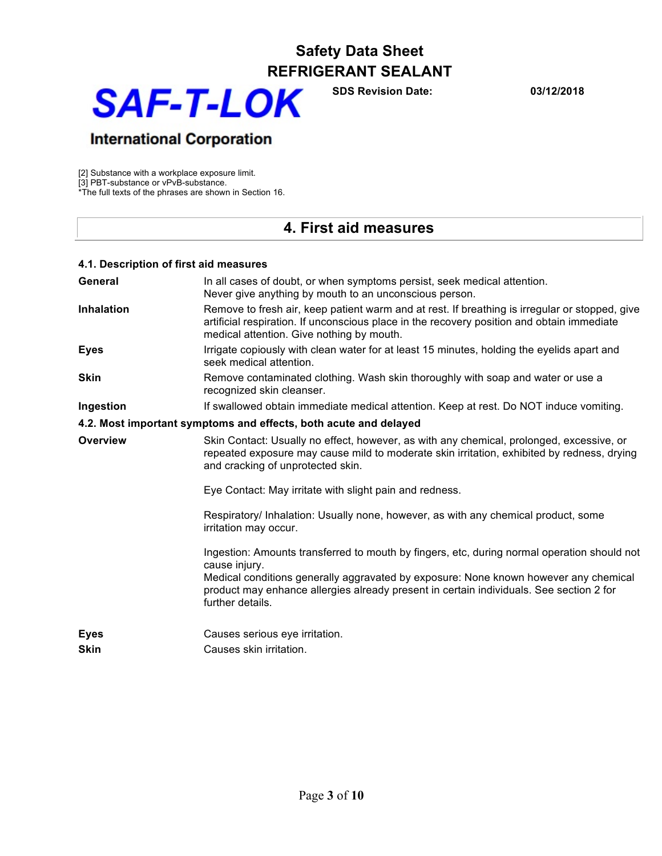

**SDS Revision Date: 03/12/2018**

## **International Corporation**

[2] Substance with a workplace exposure limit.

[3] PBT-substance or vPvB-substance.

\*The full texts of the phrases are shown in Section 16.

### **4. First aid measures**

| 4.1. Description of first aid measures |                                                                                                                                                                                                                                                                                                                     |
|----------------------------------------|---------------------------------------------------------------------------------------------------------------------------------------------------------------------------------------------------------------------------------------------------------------------------------------------------------------------|
| General                                | In all cases of doubt, or when symptoms persist, seek medical attention.<br>Never give anything by mouth to an unconscious person.                                                                                                                                                                                  |
| <b>Inhalation</b>                      | Remove to fresh air, keep patient warm and at rest. If breathing is irregular or stopped, give<br>artificial respiration. If unconscious place in the recovery position and obtain immediate<br>medical attention. Give nothing by mouth.                                                                           |
| <b>Eyes</b>                            | Irrigate copiously with clean water for at least 15 minutes, holding the eyelids apart and<br>seek medical attention.                                                                                                                                                                                               |
| <b>Skin</b>                            | Remove contaminated clothing. Wash skin thoroughly with soap and water or use a<br>recognized skin cleanser.                                                                                                                                                                                                        |
| Ingestion                              | If swallowed obtain immediate medical attention. Keep at rest. Do NOT induce vomiting.                                                                                                                                                                                                                              |
|                                        | 4.2. Most important symptoms and effects, both acute and delayed                                                                                                                                                                                                                                                    |
| Overview                               | Skin Contact: Usually no effect, however, as with any chemical, prolonged, excessive, or<br>repeated exposure may cause mild to moderate skin irritation, exhibited by redness, drying<br>and cracking of unprotected skin.                                                                                         |
|                                        | Eye Contact: May irritate with slight pain and redness.                                                                                                                                                                                                                                                             |
|                                        | Respiratory/ Inhalation: Usually none, however, as with any chemical product, some<br>irritation may occur.                                                                                                                                                                                                         |
|                                        | Ingestion: Amounts transferred to mouth by fingers, etc, during normal operation should not<br>cause injury.<br>Medical conditions generally aggravated by exposure: None known however any chemical<br>product may enhance allergies already present in certain individuals. See section 2 for<br>further details. |
| <b>Eyes</b><br><b>Skin</b>             | Causes serious eye irritation.<br>Causes skin irritation.                                                                                                                                                                                                                                                           |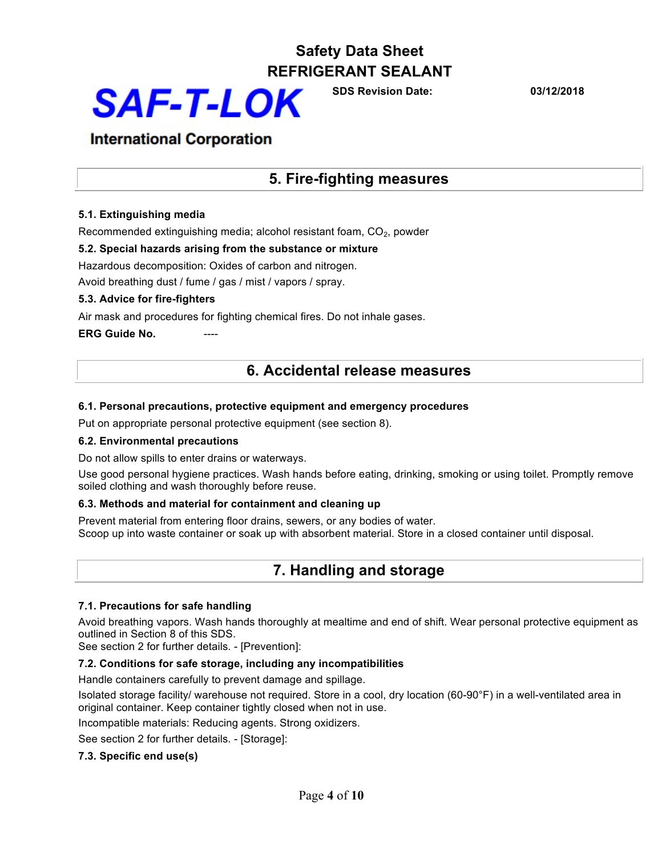

**SDS Revision Date: 03/12/2018**

### **International Corporation**

### **5. Fire-fighting measures**

### **5.1. Extinguishing media**

Recommended extinguishing media; alcohol resistant foam, CO<sub>2</sub>, powder

#### **5.2. Special hazards arising from the substance or mixture**

Hazardous decomposition: Oxides of carbon and nitrogen.

Avoid breathing dust / fume / gas / mist / vapors / spray.

#### **5.3. Advice for fire-fighters**

Air mask and procedures for fighting chemical fires. Do not inhale gases.

**ERG Guide No.** 

### **6. Accidental release measures**

#### **6.1. Personal precautions, protective equipment and emergency procedures**

Put on appropriate personal protective equipment (see section 8).

#### **6.2. Environmental precautions**

Do not allow spills to enter drains or waterways.

Use good personal hygiene practices. Wash hands before eating, drinking, smoking or using toilet. Promptly remove soiled clothing and wash thoroughly before reuse.

#### **6.3. Methods and material for containment and cleaning up**

Prevent material from entering floor drains, sewers, or any bodies of water. Scoop up into waste container or soak up with absorbent material. Store in a closed container until disposal.

### **7. Handling and storage**

### **7.1. Precautions for safe handling**

Avoid breathing vapors. Wash hands thoroughly at mealtime and end of shift. Wear personal protective equipment as outlined in Section 8 of this SDS.

See section 2 for further details. - [Prevention]:

### **7.2. Conditions for safe storage, including any incompatibilities**

Handle containers carefully to prevent damage and spillage.

Isolated storage facility/ warehouse not required. Store in a cool, dry location (60-90°F) in a well-ventilated area in original container. Keep container tightly closed when not in use.

Incompatible materials: Reducing agents. Strong oxidizers.

See section 2 for further details. - [Storage]:

### **7.3. Specific end use(s)**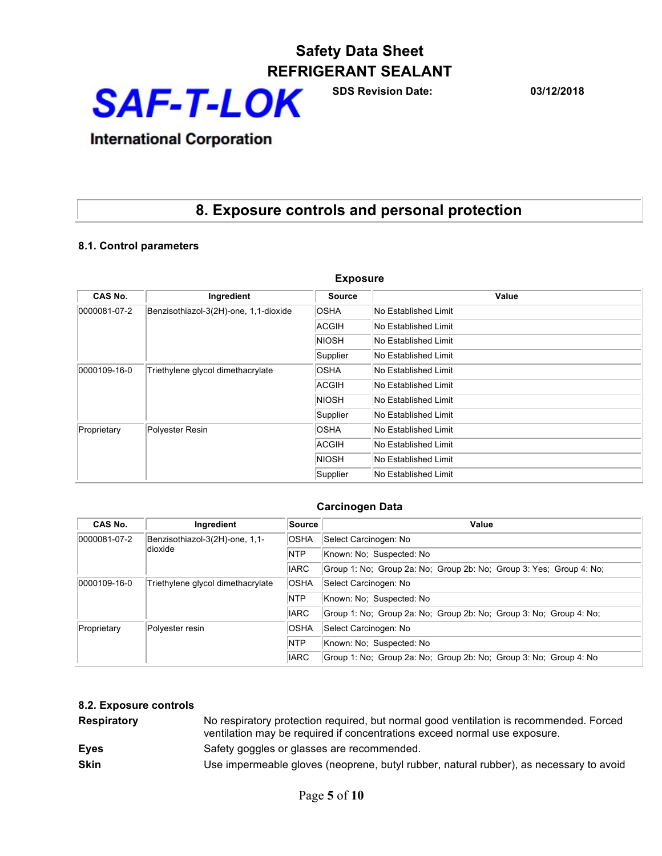**SAF-T-LOK** 

**SDS Revision Date: 03/12/2018**

## **International Corporation**

## **8. Exposure controls and personal protection**

### **8.1. Control parameters**

| <b>Exposure</b>                                       |                                       |                      |                      |  |
|-------------------------------------------------------|---------------------------------------|----------------------|----------------------|--|
| CAS No.                                               | Ingredient                            | <b>Source</b>        | Value                |  |
| 0000081-07-2                                          | Benzisothiazol-3(2H)-one, 1,1-dioxide | <b>OSHA</b>          | No Established Limit |  |
|                                                       |                                       | ACGIH                | No Established Limit |  |
|                                                       |                                       | NIOSH                | No Established Limit |  |
|                                                       |                                       | Supplier             | No Established Limit |  |
| $ 0000109-16-0 $<br>Triethylene glycol dimethacrylate | <b>OSHA</b>                           | No Established Limit |                      |  |
|                                                       | ACGIH                                 | No Established Limit |                      |  |
|                                                       | NIOSH                                 | No Established Limit |                      |  |
|                                                       | Supplier                              | No Established Limit |                      |  |
| Polyester Resin<br>Proprietary                        | <b>OSHA</b>                           | No Established Limit |                      |  |
|                                                       | ACGIH                                 | No Established Limit |                      |  |
|                                                       | NIOSH                                 | No Established Limit |                      |  |
|                                                       |                                       | Supplier             | No Established Limit |  |

### **Carcinogen Data**

| CAS No.      | Ingredient                        | <b>Source</b>                                                      | Value                                                               |
|--------------|-----------------------------------|--------------------------------------------------------------------|---------------------------------------------------------------------|
| 0000081-07-2 | Benzisothiazol-3(2H)-one, 1,1-    | <b>OSHA</b>                                                        | Select Carcinogen: No                                               |
|              | ldioxide                          | <b>NTP</b>                                                         | Known: No: Suspected: No                                            |
|              |                                   | <b>IARC</b>                                                        | Group 1: No; Group 2a: No; Group 2b: No; Group 3: Yes; Group 4: No; |
| 0000109-16-0 | Triethylene glycol dimethacrylate | <b>OSHA</b>                                                        | Select Carcinogen: No                                               |
|              |                                   |                                                                    | Known: No: Suspected: No                                            |
|              | <b>IARC</b>                       | Group 1: No; Group 2a: No; Group 2b: No; Group 3: No; Group 4: No; |                                                                     |
| Proprietary  | Polyester resin                   | <b>OSHA</b>                                                        | Select Carcinogen: No                                               |
|              |                                   |                                                                    | Known: No: Suspected: No                                            |
|              |                                   | <b>IARC</b>                                                        | Group 1: No; Group 2a: No; Group 2b: No; Group 3: No; Group 4: No   |

### **8.2. Exposure controls**

| <b>Respiratory</b> | No respiratory protection required, but normal good ventilation is recommended. Forced<br>ventilation may be required if concentrations exceed normal use exposure. |
|--------------------|---------------------------------------------------------------------------------------------------------------------------------------------------------------------|
| <b>Eyes</b>        | Safety goggles or glasses are recommended.                                                                                                                          |
| <b>Skin</b>        | Use impermeable gloves (neoprene, butyl rubber, natural rubber), as necessary to avoid                                                                              |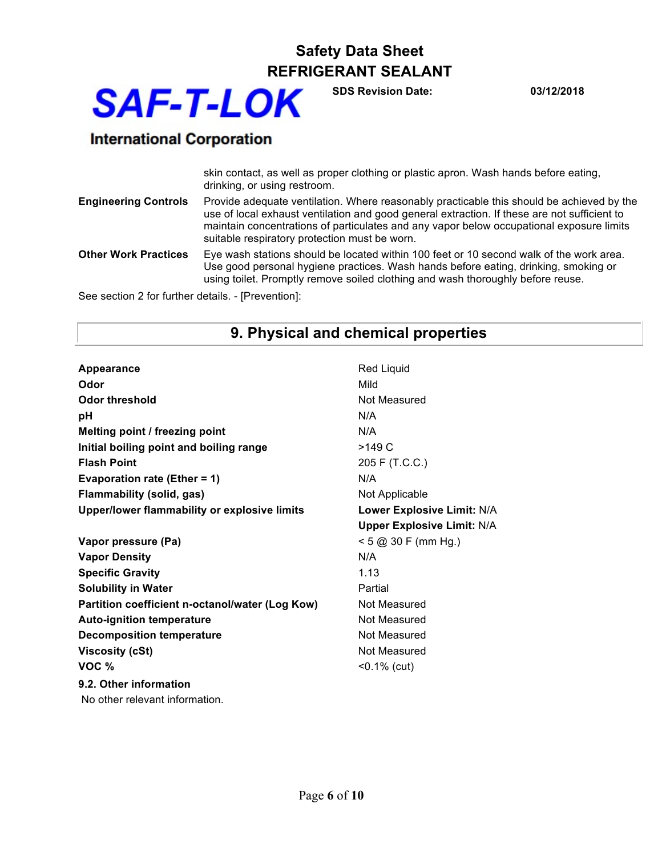**SAF-T-LOK** 

**SDS Revision Date: 03/12/2018**

## **International Corporation**

|                                                    | skin contact, as well as proper clothing or plastic apron. Wash hands before eating,<br>drinking, or using restroom.                                                                                                                                                                                                                   |
|----------------------------------------------------|----------------------------------------------------------------------------------------------------------------------------------------------------------------------------------------------------------------------------------------------------------------------------------------------------------------------------------------|
| <b>Engineering Controls</b>                        | Provide adequate ventilation. Where reasonably practicable this should be achieved by the<br>use of local exhaust ventilation and good general extraction. If these are not sufficient to<br>maintain concentrations of particulates and any vapor below occupational exposure limits<br>suitable respiratory protection must be worn. |
| <b>Other Work Practices</b>                        | Eye wash stations should be located within 100 feet or 10 second walk of the work area.<br>Use good personal hygiene practices. Wash hands before eating, drinking, smoking or<br>using toilet. Promptly remove soiled clothing and wash thoroughly before reuse.                                                                      |
| Coo sootian O far further details - [Droisentian]; |                                                                                                                                                                                                                                                                                                                                        |

See section 2 for further details. - [Prevention]:

## **9. Physical and chemical properties**

| Appearance                                      | <b>Red Liquid</b>                 |
|-------------------------------------------------|-----------------------------------|
| Odor                                            | Mild                              |
| <b>Odor threshold</b>                           | Not Measured                      |
| рH                                              | N/A                               |
| Melting point / freezing point                  | N/A                               |
| Initial boiling point and boiling range         | >149 C                            |
| <b>Flash Point</b>                              | 205 F (T.C.C.)                    |
| <b>Evaporation rate (Ether = 1)</b>             | N/A                               |
| <b>Flammability (solid, gas)</b>                | Not Applicable                    |
| Upper/lower flammability or explosive limits    | Lower Explosive Limit: N/A        |
|                                                 | <b>Upper Explosive Limit: N/A</b> |
| Vapor pressure (Pa)                             | $< 5$ @ 30 F (mm Hg.)             |
| <b>Vapor Density</b>                            | N/A                               |
| <b>Specific Gravity</b>                         | 1.13                              |
| <b>Solubility in Water</b>                      | Partial                           |
| Partition coefficient n-octanol/water (Log Kow) | Not Measured                      |
| <b>Auto-ignition temperature</b>                | Not Measured                      |
| <b>Decomposition temperature</b>                | Not Measured                      |
| <b>Viscosity (cSt)</b>                          | Not Measured                      |
| VOC <sub>%</sub>                                | $< 0.1\%$ (cut)                   |
| 9.2. Other information                          |                                   |
| No other relevant information.                  |                                   |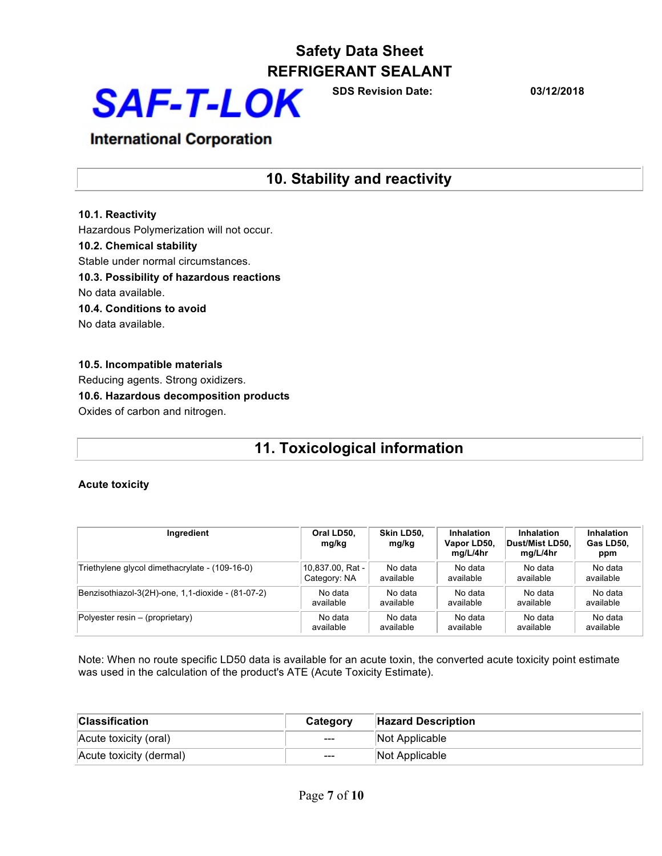

**SDS Revision Date: 03/12/2018**

## **International Corporation**

### **10. Stability and reactivity**

## **10.1. Reactivity**

Hazardous Polymerization will not occur.

#### **10.2. Chemical stability**

Stable under normal circumstances.

**10.3. Possibility of hazardous reactions**

No data available.

**10.4. Conditions to avoid**

No data available.

### **10.5. Incompatible materials** Reducing agents. Strong oxidizers. **10.6. Hazardous decomposition products** Oxides of carbon and nitrogen.

## **11. Toxicological information**

### **Acute toxicity**

| Ingredient                                        | Oral LD50.<br>mg/kg | Skin LD50.<br>mg/kg | <b>Inhalation</b><br>Vapor LD50,<br>mg/L/4hr | <b>Inhalation</b><br>Dust/Mist LD50.<br>mg/L/4hr | <b>Inhalation</b><br>Gas LD50.<br>ppm |
|---------------------------------------------------|---------------------|---------------------|----------------------------------------------|--------------------------------------------------|---------------------------------------|
| Triethylene glycol dimethacrylate - (109-16-0)    | 10.837.00. Rat -    | No data             | No data                                      | No data                                          | No data                               |
|                                                   | Category: NA        | available           | available                                    | available                                        | available                             |
| Benzisothiazol-3(2H)-one, 1,1-dioxide - (81-07-2) | No data             | No data             | No data                                      | No data                                          | No data                               |
|                                                   | available           | available           | available                                    | available                                        | available                             |
| $Polyester$ resin – (proprietary)                 | No data             | No data             | No data                                      | No data                                          | No data                               |
|                                                   | available           | available           | available                                    | available                                        | available                             |

Note: When no route specific LD50 data is available for an acute toxin, the converted acute toxicity point estimate was used in the calculation of the product's ATE (Acute Toxicity Estimate).

| <b>Classification</b>   | Category | <b>Hazard Description</b> |
|-------------------------|----------|---------------------------|
| Acute toxicity (oral)   | $---$    | Not Applicable            |
| Acute toxicity (dermal) | $---$    | Not Applicable            |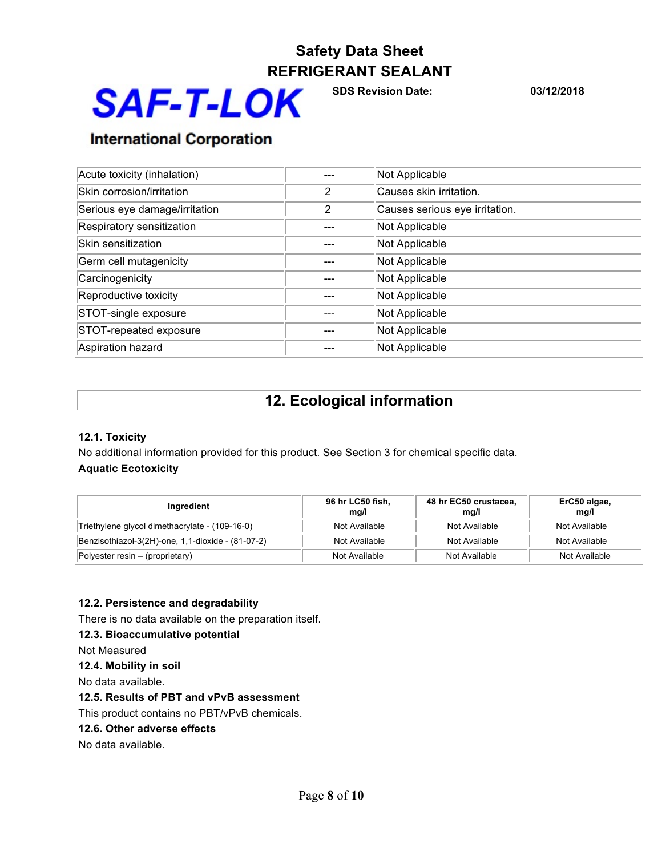

**SDS Revision Date: 03/12/2018**

## **International Corporation**

| Acute toxicity (inhalation)   |   | Not Applicable                 |
|-------------------------------|---|--------------------------------|
| Skin corrosion/irritation     | 2 | Causes skin irritation.        |
| Serious eye damage/irritation | 2 | Causes serious eye irritation. |
| Respiratory sensitization     |   | Not Applicable                 |
| Skin sensitization            |   | Not Applicable                 |
| Germ cell mutagenicity        |   | Not Applicable                 |
| Carcinogenicity               |   | Not Applicable                 |
| Reproductive toxicity         |   | Not Applicable                 |
| STOT-single exposure          |   | Not Applicable                 |
| STOT-repeated exposure        |   | Not Applicable                 |
| Aspiration hazard             |   | Not Applicable                 |

## **12. Ecological information**

### **12.1. Toxicity**

No additional information provided for this product. See Section 3 for chemical specific data. **Aquatic Ecotoxicity**

| Ingredient                                        | 96 hr LC50 fish,<br>mg/l | 48 hr EC50 crustacea,<br>mg/l | ErC50 algae,<br>mg/l |
|---------------------------------------------------|--------------------------|-------------------------------|----------------------|
| Triethylene glycol dimethacrylate - (109-16-0)    | Not Available            | Not Available                 | Not Available        |
| Benzisothiazol-3(2H)-one, 1,1-dioxide - (81-07-2) | Not Available            | Not Available                 | Not Available        |
| Polyester resin $-$ (proprietary)                 | Not Available            | Not Available                 | Not Available        |

### **12.2. Persistence and degradability**

There is no data available on the preparation itself.

### **12.3. Bioaccumulative potential**

Not Measured

**12.4. Mobility in soil**

No data available.

### **12.5. Results of PBT and vPvB assessment**

This product contains no PBT/vPvB chemicals.

**12.6. Other adverse effects**

No data available.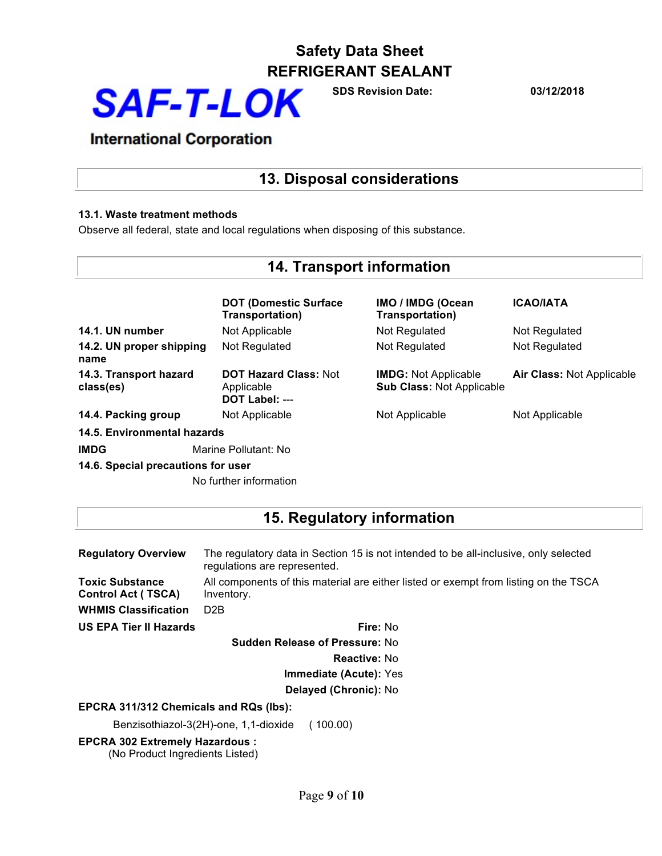

**SDS Revision Date: 03/12/2018**

## **International Corporation**

## **13. Disposal considerations**

### **13.1. Waste treatment methods**

Observe all federal, state and local regulations when disposing of this substance.

## **14. Transport information**

|                                     | <b>DOT (Domestic Surface)</b><br>Transportation)             | <b>IMO / IMDG (Ocean</b><br>Transportation)                     | <b>ICAO/IATA</b>                 |
|-------------------------------------|--------------------------------------------------------------|-----------------------------------------------------------------|----------------------------------|
| 14.1. UN number                     | Not Applicable                                               | Not Regulated                                                   | Not Regulated                    |
| 14.2. UN proper shipping<br>name    | Not Regulated                                                | Not Regulated                                                   | Not Regulated                    |
| 14.3. Transport hazard<br>class(es) | <b>DOT Hazard Class: Not</b><br>Applicable<br>DOT Label: --- | <b>IMDG:</b> Not Applicable<br><b>Sub Class: Not Applicable</b> | <b>Air Class: Not Applicable</b> |
| 14.4. Packing group                 | Not Applicable                                               | Not Applicable                                                  | Not Applicable                   |
| 14.5. Environmental hazards         |                                                              |                                                                 |                                  |
| <b>IMDG</b>                         | Marine Pollutant: No                                         |                                                                 |                                  |
| 14.6. Special precautions for user  |                                                              |                                                                 |                                  |
|                                     | No further information                                       |                                                                 |                                  |

### **15. Regulatory information**

| <b>Regulatory Overview</b>                          | The regulatory data in Section 15 is not intended to be all-inclusive, only selected<br>regulations are represented. |  |  |  |
|-----------------------------------------------------|----------------------------------------------------------------------------------------------------------------------|--|--|--|
| <b>Toxic Substance</b><br><b>Control Act (TSCA)</b> | All components of this material are either listed or exempt from listing on the TSCA<br>Inventory.                   |  |  |  |
| <b>WHMIS Classification</b>                         | D <sub>2</sub> B                                                                                                     |  |  |  |
| <b>US EPA Tier II Hazards</b>                       | Fire: No                                                                                                             |  |  |  |
|                                                     | <b>Sudden Release of Pressure: No</b>                                                                                |  |  |  |
|                                                     | <b>Reactive: No</b>                                                                                                  |  |  |  |
|                                                     | <b>Immediate (Acute): Yes</b>                                                                                        |  |  |  |
| Delayed (Chronic): No                               |                                                                                                                      |  |  |  |
| EPCRA 311/312 Chemicals and RQs (lbs):              |                                                                                                                      |  |  |  |
|                                                     | Benzisothiazol-3(2H)-one, 1,1-dioxide<br>(100.00)                                                                    |  |  |  |
| <b>EPCRA 302 Extremely Hazardous:</b>               |                                                                                                                      |  |  |  |

(No Product Ingredients Listed)